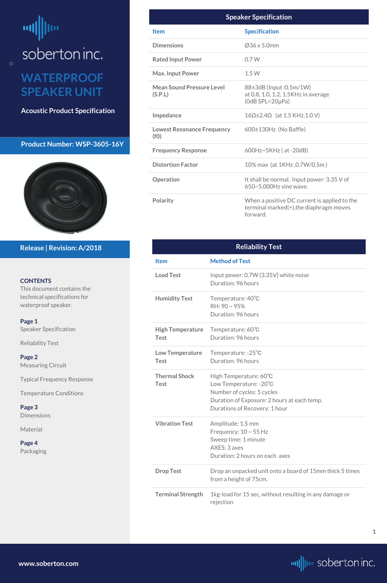# <span id="page-0-0"></span>┉ soberton inc.

## **WATERPROOF SPEAKER UNIT**

**Acoustic Product Specification**

#### **Product Number: WSP-3605-16Y**



#### **CONTENTS**

This document contains the technical specifications for waterproof speaker.

**[Page 3](#page-2-0) [Dimensions](#page-2-0)** 

**Page 1** Speaker Specification

Reliability Test

**[Page 2](#page-1-0)** [Measuring Circuit](#page-1-0)

[Typical Frequency Response](#page-1-0)

[Temperature Conditions](#page-1-0)

[Material](#page-2-0)

#### **[Page 4](#page-3-0)** [Packa](#page-3-0)ging

**Release | Revision: A/2018**

**[www.soberton.com](http://www.soberton.com)**



**1**

| <b>Speaker Specification</b>                |                                                                                                     |  |  |  |
|---------------------------------------------|-----------------------------------------------------------------------------------------------------|--|--|--|
| <b>Item</b>                                 | <b>Specification</b>                                                                                |  |  |  |
| <b>Dimensions</b>                           | $Q$ 36 x 5.0mm                                                                                      |  |  |  |
| <b>Rated Input Power</b>                    | 0.7W                                                                                                |  |  |  |
| <b>Max. Input Power</b>                     | 1.5W                                                                                                |  |  |  |
| <b>Mean Sound Pressure Level</b><br>(S.P.L) | 88±3dB (Input :0.5m/1W)<br>at 0.8, 1.0, 1.2, 1.5KHz in average<br>$(OdB$ SPL=20 $\mu$ Pa)           |  |  |  |
| Impedance                                   | $16\Omega \pm 2.4\Omega$ (at 1.5 KHz, 1.0 V)                                                        |  |  |  |
| <b>Lowest Resonance Frequency</b><br>(f())  | $600\pm130$ Hz (No Baffle)                                                                          |  |  |  |
| <b>Frequency Response</b>                   | $600Hz \sim 5KHz$ (at -20dB)                                                                        |  |  |  |
| <b>Distortion Factor</b>                    | 10% max (at 1KHz, 0.7W/0.5m)                                                                        |  |  |  |
| Operation                                   | It shall be normal. Input power: 3.35 V of<br>650~5,000Hz sine wave.                                |  |  |  |
| <b>Polarity</b>                             | When a positive DC current is applied to the<br>terminal marked(+), the diaphragm moves<br>forward. |  |  |  |

**Drop Test** Drop an unpacked unit onto a board of 15mm thick 5 times from a height of 75cm.

| <b>Reliability Test</b>                |                                                                                                                                                                |  |  |  |
|----------------------------------------|----------------------------------------------------------------------------------------------------------------------------------------------------------------|--|--|--|
| <b>Item</b>                            | <b>Method of Test</b>                                                                                                                                          |  |  |  |
| <b>Load Test</b>                       | Input power: 0.7W (3.35V) white noise<br>Duration: 96 hours                                                                                                    |  |  |  |
| <b>Humidity Test</b>                   | Temperature: 40°C<br>$RH: 90 \sim 95\%$<br>Duration: 96 hours                                                                                                  |  |  |  |
| <b>High Temperature</b><br><b>Test</b> | Temperature: 60°C<br>Duration: 96 hours                                                                                                                        |  |  |  |
| <b>Low Temperature</b><br><b>Test</b>  | Temperature: -25°C<br>Duration: 96 hours                                                                                                                       |  |  |  |
| <b>Thermal Shock</b><br><b>Test</b>    | High Temperature: 60°C<br>Low Temperature: -20°C<br>Number of cycles: 5 cycles<br>Duration of Exposure: 2 hours at each temp.<br>Durations of Recovery: 1 hour |  |  |  |
| <b>Vibration Test</b>                  | Amplitude: 1.5 mm<br>Frequency: $10 \sim 55$ Hz<br>Sween time: 1 minute                                                                                        |  |  |  |

Sweep time: 1 minute AXES: 3 axes Duration: 2 hours on each axes

**Terminal Strength** 1kg-load for 15 sec, without resulting in any damage or rejection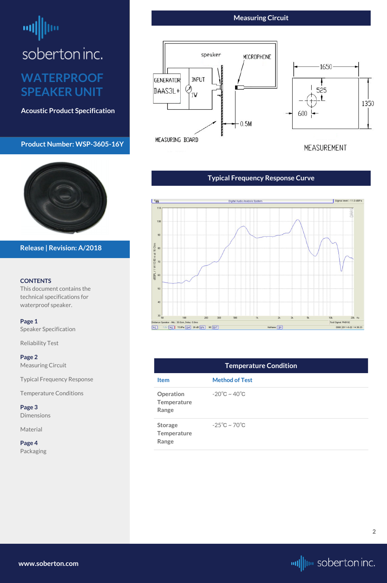# <span id="page-1-0"></span>soberton inc.

## **WATERPROOF SPEAKER UNIT**

**Acoustic Product Specification**

#### **Product Number: WSP-3605-16Y**



#### **CONTENTS**

This document contains the technical specifications for waterproof speaker.

**[Page 1](#page-0-0)** Speake[r S](#page-0-0)pecification

[Reliability Test](#page-0-0)

#### **Page 2**

Measuring Circuit

Typical Frequency Response

Temperature Conditions

#### **[Page 3](#page-2-0)** [Dimensions](#page-2-0)

[Material](#page-2-0)

**[Page 4](#page-3-0)** [Packa](#page-3-0)ging

#### **Release | Revision: A/2018**

#### **Measuring Circuit**



**[www.soberton.com](http://www.soberton.com)**



**2**

#### **Typical Frequency Response Curve**



| <b>Temperature Condition</b>                        |                                   |  |  |  |  |
|-----------------------------------------------------|-----------------------------------|--|--|--|--|
| <b>Item</b>                                         | <b>Method of Test</b>             |  |  |  |  |
| Operation<br><b>Temperature</b><br>Range            | $-20^{\circ}$ C ~ 40 $^{\circ}$ C |  |  |  |  |
| <b>Storage</b><br><b>Temperature</b><br>$D - - - -$ | $-25^{\circ}$ C ~ 70 $^{\circ}$ C |  |  |  |  |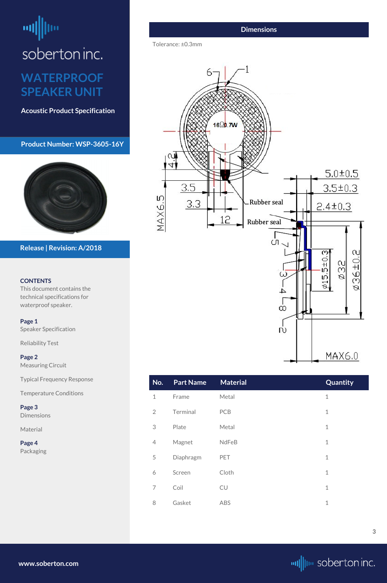## <span id="page-2-0"></span>画 soberton inc. **WATERPROOF SPEAKER UNIT**

**Acoustic Product Specification**

**Product Number: WSP-3605-16Y**



#### **CONTENTS**

This document contains the technical specifications for waterproof speaker.

**[Page 1](#page-0-0)** Speake[r S](#page-0-0)pecification

[Reliability Test](#page-0-0)

**[Page 2](#page-1-0)** [Measuring Circuit](#page-1-0)

[Typical Frequency Response](#page-1-0)

[Temperature Conditions](#page-1-0)

**Page 3** Dimensions

Material

#### **[Page 4](#page-3-0)** [Packa](#page-3-0)ging

**Release | Revision: A/2018**

**[www.soberton.com](http://www.soberton.com)**



| No.            | <b>Part Name</b> | <b>Material</b> | Quantity     |
|----------------|------------------|-----------------|--------------|
| $\mathbf 1$    | Frame            | Metal           | $\mathbf 1$  |
| $\overline{2}$ | Terminal         | PCB             | $\mathbf{1}$ |
| 3              | Plate            | Metal           | $\mathbf{1}$ |
| 4              | Magnet           | <b>NdFeB</b>    | $\mathbf 1$  |
| 5              | Diaphragm        | PET             | $\mathbf{1}$ |
| 6              | Screen           | Cloth           | $\mathbf{1}$ |
| 7              | Coil             | <b>CU</b>       | $\mathbf 1$  |
| 8              | Gasket           | <b>ABS</b>      | $\mathbf 1$  |